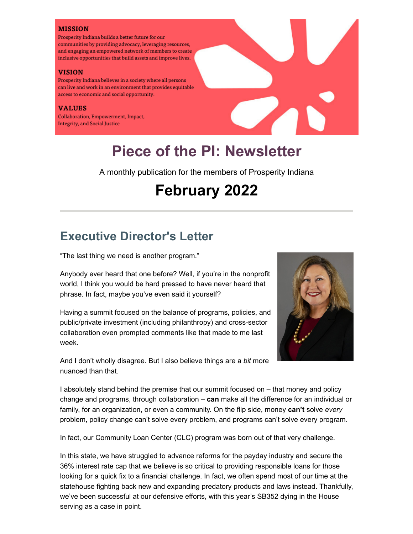#### **MISSION**

Prosperity Indiana builds a better future for our communities by providing advocacy, leveraging resources, and engaging an empowered network of members to create inclusive opportunities that build assets and improve lives.

#### **VISION**

Prosperity Indiana believes in a society where all persons can live and work in an environment that provides equitable access to economic and social opportunity.

#### **VALUES**

Collaboration, Empowerment, Impact, **Integrity, and Social Justice** 

# **Piece of the PI: Newsletter**

A monthly publication for the members of Prosperity Indiana

# **February 2022**

## **Executive Director's Letter**

"The last thing we need is another program."

Anybody ever heard that one before? Well, if you're in the nonprofit world, I think you would be hard pressed to have never heard that phrase. In fact, maybe you've even said it yourself?

Having a summit focused on the balance of programs, policies, and public/private investment (including philanthropy) and cross-sector collaboration even prompted comments like that made to me last week.



And I don't wholly disagree. But I also believe things are a *bit* more nuanced than that.

I absolutely stand behind the premise that our summit focused on – that money and policy change and programs, through collaboration – **can** make all the difference for an individual or family, for an organization, or even a community. On the flip side, money **can't** solve *every* problem, policy change can't solve every problem, and programs can't solve every program.

In fact, our Community Loan Center (CLC) program was born out of that very challenge.

In this state, we have struggled to advance reforms for the payday industry and secure the 36% interest rate cap that we believe is so critical to providing responsible loans for those looking for a quick fix to a financial challenge. In fact, we often spend most of our time at the statehouse fighting back new and expanding predatory products and laws instead. Thankfully, we've been successful at our defensive efforts, with this year's SB352 dying in the House serving as a case in point.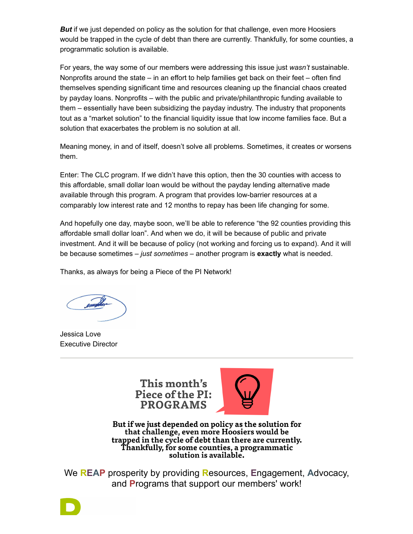*But* if we just depended on policy as the solution for that challenge, even more Hoosiers would be trapped in the cycle of debt than there are currently. Thankfully, for some counties, a programmatic solution is available.

For years, the way some of our members were addressing this issue just *wasn't* sustainable. Nonprofits around the state – in an effort to help families get back on their feet – often find themselves spending significant time and resources cleaning up the financial chaos created by payday loans. Nonprofits – with the public and private/philanthropic funding available to them – essentially have been subsidizing the payday industry. The industry that proponents tout as a "market solution" to the financial liquidity issue that low income families face. But a solution that exacerbates the problem is no solution at all.

Meaning money, in and of itself, doesn't solve all problems. Sometimes, it creates or worsens them.

Enter: The CLC program. If we didn't have this option, then the 30 counties with access to this affordable, small dollar loan would be without the payday lending alternative made available through this program. A program that provides low-barrier resources at a comparably low interest rate and 12 months to repay has been life changing for some.

And hopefully one day, maybe soon, we'll be able to reference "the 92 counties providing this affordable small dollar loan". And when we do, it will be because of public and private investment. And it will be because of policy (not working and forcing us to expand). And it will be because sometimes – *just sometimes* – another program is **exactly** what is needed.

Thanks, as always for being a Piece of the PI Network!

Jessica Love Executive Director

This month's Piece of the PI: **PROGRAMS** 



But if we just depended on policy as the solution for that challenge, even more Hoosiers would be trapped in the cycle of debt than there are currently. **Thankfully, for some counties, a programmatic** solution is available.

We **REAP** prosperity by providing **R**esources, **E**ngagement, **A**dvocacy, and **P**rograms that support our members' work!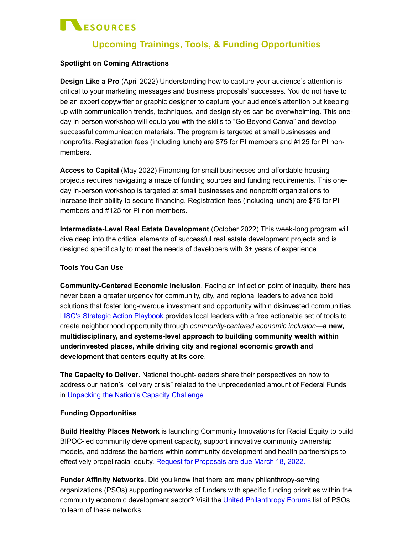# **NESOURCES**

## **Upcoming Trainings, Tools, & Funding Opportunities**

## **Spotlight on Coming Attractions**

**Design Like a Pro** (April 2022) Understanding how to capture your audience's attention is critical to your marketing messages and business proposals' successes. You do not have to be an expert copywriter or graphic designer to capture your audience's attention but keeping up with communication trends, techniques, and design styles can be overwhelming. This oneday in-person workshop will equip you with the skills to "Go Beyond Canva" and develop successful communication materials. The program is targeted at small businesses and nonprofits. Registration fees (including lunch) are \$75 for PI members and #125 for PI nonmembers.

**Access to Capital** (May 2022) Financing for small businesses and affordable housing projects requires navigating a maze of funding sources and funding requirements. This oneday in-person workshop is targeted at small businesses and nonprofit organizations to increase their ability to secure financing. Registration fees (including lunch) are \$75 for PI members and #125 for PI non-members.

**Intermediate-Level Real Estate Development** (October 2022) This week-long program will dive deep into the critical elements of successful real estate development projects and is designed specifically to meet the needs of developers with 3+ years of experience.

#### **Tools You Can Use**

**Community-Centered Economic Inclusion**. Facing an inflection point of inequity, there has never been a greater urgency for community, city, and regional leaders to advance bold solutions that foster long-overdue investment and opportunity within disinvested communities. [LISC's Strategic Action Playbook](https://www.brookings.edu/essay/community-centered-economic-inclusion-a-strategic-action-playbook/) provides local leaders with a free actionable set of tools to create neighborhood opportunity through *community-centered economic inclusion*—**a new, multidisciplinary, and systems-level approach to building community wealth within underinvested places, while driving city and regional economic growth and development that centers equity at its core**.

**The Capacity to Deliver**. National thought-leaders share their perspectives on how to address our nation's "delivery crisis" related to the unprecedented amount of Federal Funds in [Unpacking the Nation's Capacity Challenge.](https://www.thenewlocalism.com/newsletter/unpacking-the-nations-capacity-challenge/)

## **Funding Opportunities**

**Build Healthy Places Network** is launching Community Innovations for Racial Equity to build BIPOC-led community development capacity, support innovative community ownership models, and address the barriers within community development and health partnerships to effectively propel racial equity. [Request for Proposals are due March 18, 2022.](https://buildhealthyplaces.org/sharing-knowledge/blogs/news/community-innovations-for-racial-equity-2022/)

**Funder Affinity Networks**. Did you know that there are many philanthropy-serving organizations (PSOs) supporting networks of funders with specific funding priorities within the community economic development sector? Visit the [United Philanthropy Forums](https://www.unitedphilforum.org/national-philanthropy-serving-organizations) list of PSOs to learn of these networks.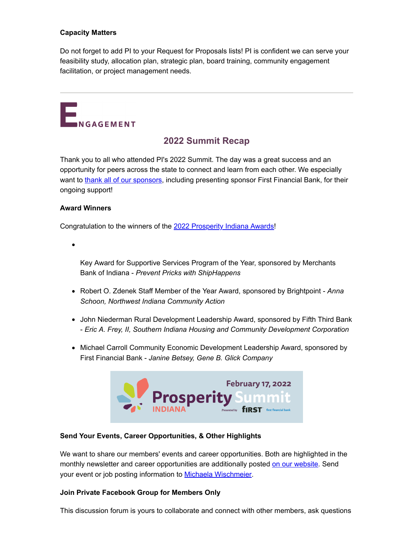## **Capacity Matters**

Do not forget to add PI to your Request for Proposals lists! PI is confident we can serve your feasibility study, allocation plan, strategic plan, board training, community engagement facilitation, or project management needs.



## **2022 Summit Recap**

Thank you to all who attended PI's 2022 Summit. The day was a great success and an opportunity for peers across the state to connect and learn from each other. We especially want to [thank all of our sponsors](https://www.prosperityindiana.org/Sponsor), including presenting sponsor First Financial Bank, for their ongoing support!

#### **Award Winners**

Congratulation to the winners of the [2022 Prosperity Indiana Awards](https://www.prosperityindiana.org/Award)!

Key Award for Supportive Services Program of the Year, sponsored by Merchants Bank of Indiana - *Prevent Pricks with ShipHappens*

- Robert O. Zdenek Staff Member of the Year Award, sponsored by Brightpoint *Anna Schoon, Northwest Indiana Community Action*
- John Niederman Rural Development Leadership Award, sponsored by Fifth Third Bank - *Eric A. Frey, II, Southern Indiana Housing and Community Development Corporation*
- Michael Carroll Community Economic Development Leadership Award, sponsored by First Financial Bank - *Janine Betsey, Gene B. Glick Company*



## **Send Your Events, Career Opportunities, & Other Highlights**

We want to share our members' events and career opportunities. Both are highlighted in the monthly newsletter and career opportunities are additionally posted [on our website.](https://www.prosperityindiana.org/page-18263) Send your event or job posting information to [Michaela Wischmeier](mailto:mwischmeier@prosperityindiana.org).

#### **Join Private Facebook Group for Members Only**

This discussion forum is yours to collaborate and connect with other members, ask questions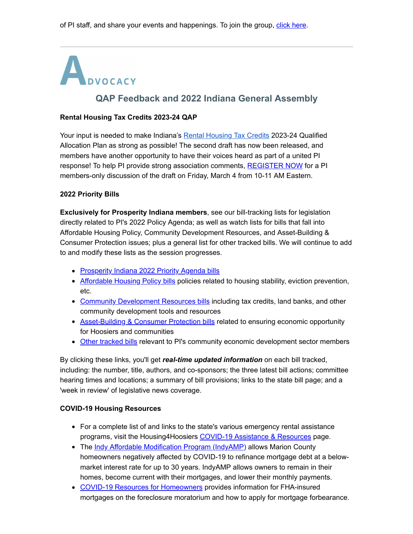# **CONCORT AND INCREDIST AND A REPORT OF THE REAL PROPERTY AND REPORT OF FEEDBACK AND A SERVICE AND REAL PROPERTY.**<br> **CAP Feedback and 2022 Indiana General Assembly**

## **Rental Housing Tax Credits 2023-24 QAP**

Your input is needed to make Indiana's [Rental Housing Tax Credits](https://www.in.gov/ihcda/developers/rental-housing-tax-credits-rhtc/) 2023-24 Qualified Allocation Plan as strong as possible! The second draft has now been released, and members have another opportunity to have their voices heard as part of a united PI response! To help PI provide strong association comments, [REGISTER NOW](https://www.prosperityindiana.org/event-4713790) for a PI members-only discussion of the draft on Friday, March 4 from 10-11 AM Eastern.

#### **2022 Priority Bills**

**Exclusively for Prosperity Indiana members**, see our bill-tracking lists for legislation directly related to PI's 2022 Policy Agenda; as well as watch lists for bills that fall into Affordable Housing Policy, Community Development Resources, and Asset-Building & Consumer Protection issues; plus a general list for other tracked bills. We will continue to add to and modify these lists as the session progresses.

- [Prosperity Indiana 2022 Priority Agenda bills](https://prosperityindiana.org/EmailTracker/LinkTracker.ashx?linkAndRecipientCode=pFl3EkNzuGxyStol9wI4UCYYOL6Mrykmw7O%2f4zQZgCRqe%2brXxY1HNm079Wh4jKxKSuSPf%2f4%2f60wV6tkqyhwTsxyXNXVxqjU7p2SFX%2beQ7HY%3d)
- [Affordable Housing Policy bills](https://prosperityindiana.org/EmailTracker/LinkTracker.ashx?linkAndRecipientCode=vw7OuGohrNL3JflbzuIqm9RclmlLhVdRzGCP4MDUT6Cof6QqrtrFadK309IvKxvlIcF7uxt16ja0V3h3tP1NTOHBcKtQjjjkxGiPPbiPNGU%3d) policies related to housing stability, eviction prevention, etc.
- [Community Development Resources bills](https://prosperityindiana.org/EmailTracker/LinkTracker.ashx?linkAndRecipientCode=N1Ai%2b7XpxekUKvT7%2fCWmBaUhKt%2fuCOJ3lYpGwfd3cAw3hQruS4qOYO7WfNsaJ4gi%2f3f9z6ItzNm7H30J336zWgWNG8F2PUJrd7sljXCc6sY%3d) including tax credits, land banks, and other community development tools and resources
- [Asset-Building & Consumer Protection bills](https://prosperityindiana.org/EmailTracker/LinkTracker.ashx?linkAndRecipientCode=tqspBW8lX6vbyVULacZmvx0tUYnJgQsFOotVmCMweRvFxmFnM8ct1XdGceFt1SdyuTAjLDxiyorRJjmL9t0ncwukBYHS92MZth09jon5Y14%3d) related to ensuring economic opportunity for Hoosiers and communities
- [Other tracked bills](https://prosperityindiana.org/EmailTracker/LinkTracker.ashx?linkAndRecipientCode=2A%2btXdqzDWdLL7jLYl%2bvRkzqawcVtyxSFljdyLQ25szq52G2GPRmqpVIo5wTMfr6TrfSaj9%2bDdyyRQQn3f5RHDtA0gAsdgVDgj63Dchoktc%3d) relevant to PI's community economic development sector members

By clicking these links, you'll get *real-time updated information* on each bill tracked, including: the number, title, authors, and co-sponsors; the three latest bill actions; committee hearing times and locations; a summary of bill provisions; links to the state bill page; and a 'week in review' of legislative news coverage.

#### **COVID-19 Housing Resources**

- For a complete list of and links to the state's various emergency rental assistance programs, visit the Housing4Hoosiers [COVID-19 Assistance & Resources](https://housing4hoosiers.org/rentassistance/) page.
- The [Indy Affordable Modification Program \(IndyAMP\)](https://www.indyamp.org/) allows Marion County homeowners negatively affected by COVID-19 to refinance mortgage debt at a belowmarket interest rate for up to 30 years. IndyAMP allows owners to remain in their homes, become current with their mortgages, and lower their monthly payments.
- [COVID-19 Resources for Homeowners](https://www.hud.gov/coronavirus/resources_for_homeowners) provides information for FHA-insured mortgages on the foreclosure moratorium and how to apply for mortgage forbearance.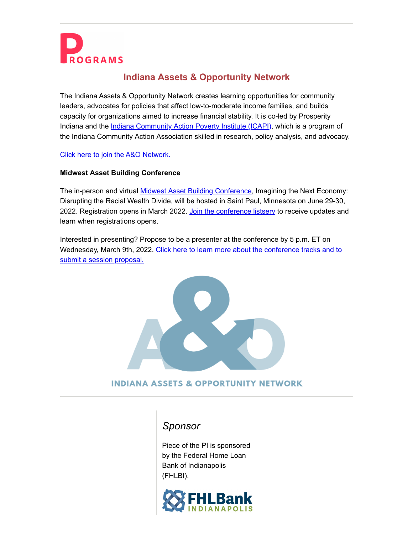

## **Indiana Assets & Opportunity Network**

The Indiana Assets & Opportunity Network creates learning opportunities for community leaders, advocates for policies that affect low-to-moderate income families, and builds capacity for organizations aimed to increase financial stability. It is co-led by Prosperity Indiana and the *Indiana Community Action Poverty Institute (ICAPI)*, which is a program of the Indiana Community Action Association skilled in research, policy analysis, and advocacy.

[Click here to join the](https://prosperityindiana.org/EmailTracker/LinkTracker.ashx?linkAndRecipientCode=N2ZDOAy40OYrC1BaU7FIaQpKsVZoR%2bMYWlaAP9uc8LgHPWsDkDwq1riGuY8b%2fyMf64Em3AkqZI3zVdpHgqXVAijztZtwRMBmqZH7bMNmoO8%3d) A&O Network.

## **Midwest Asset Building Conference**

The in-person and virtual **[Midwest Asset Building Conference](https://www.midwestassetbuilding.org/)**, Imagining the Next Economy: Disrupting the Racial Wealth Divide, will be hosted in Saint Paul, Minnesota on June 29-30, 2022. Registration opens in March 2022. Join the conference listsery to receive updates and learn when registrations opens.

Interested in presenting? Propose to be a presenter at the conference by 5 p.m. ET on [Wednesday, March 9th, 2022. Click here to learn more about the conference tracks and to](https://www.midwestassetbuilding.org/speaker-rfp) submit a session proposal.



## **INDIANA ASSETS & OPPORTUNITY NETWORK**

## *Sponsor*

Piece of the PI is sponsored by the Federal Home Loan Bank of Indianapolis (FHLBI).

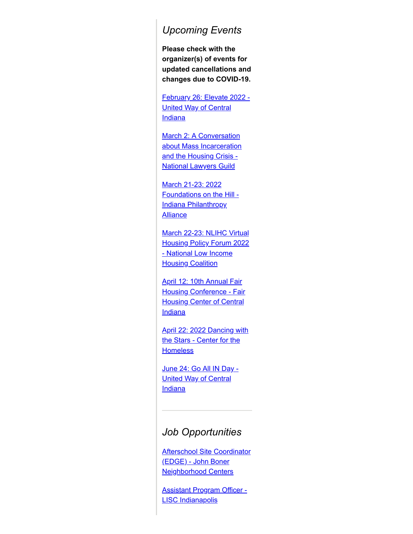## *Upcoming Events*

**Please check with the organizer(s) of events for updated cancellations and changes due to COVID-19.**

[February 26: Elevate 2022 -](https://www.eventbrite.com/e/united-ways-elevate-tickets-223357607617) United Way of Central **Indiana** 

March 2: A Conversation [about Mass Incarceration](https://bit.ly/33IKSCc) and the Housing Crisis - National Lawyers Guild

March 21-23: 2022 [Foundations on the Hill -](https://www.inphilanthropy.org/events/2022-foundations-hill) Indiana Philanthropy **Alliance** 

March 22-23: NLIHC Virtual [Housing Policy Forum 2022](https://app.mobilecause.com/e/_smcPA?vid=pimhm&utm) - National Low Income **Housing Coalition** 

April 12: 10th Annual Fair [Housing Conference - Fair](https://www.fhcci.org/events/fair-housing-conference-2022/) **Housing Center of Central Indiana** 

[April 22: 2022 Dancing with](https://givegrove.com/stars22) the Stars - Center for the **Homeless** 

[June 24: Go All IN Day -](https://www.uwci.org/go-all-in-day) United Way of Central **Indiana** 

## *Job Opportunities*

[Afterschool Site Coordinator](https://charitableadvisors.hirecentric.com/jobs/209603.html) (EDGE) - John Boner Neighborhood Centers

[Assistant Program Officer -](https://www.lisc.org/indianapolis/who-we-are/job-opportunities/) LISC Indianapolis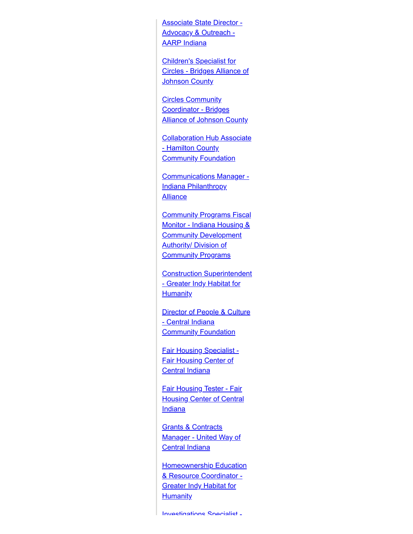[Associate State Director -](https://careers.aarp.org/careers-home/jobs/2209?lang=en-us&iis=Job%20Board&iisn=LinkedIn) Advocacy & Outreach - AARP Indiana

Children's Specialist for [Circles - Bridges Alliance of](https://bridgesalliancejc.org/job-opportunities) **Johnson County** 

**Circles Community** Coordinator - Bridges **[Alliance of Johnson County](https://bridgesalliancejc.org/job-opportunities)** 

[Collaboration Hub Associate](https://www.inphilanthropy.org/jobs/collaboration-hub-associate) - Hamilton County **Community Foundation** 

[Communications Manager -](https://charitableadvisors.hirecentric.com/jobs/209874.html) Indiana Philanthropy **Alliance** 

**[Community Programs Fiscal](https://charitableadvisors.hirecentric.com/jobs/209592.html)** Monitor - Indiana Housing & **Community Development Authority/ Division of Community Programs** 

[Construction Superintendent](https://charitableadvisors.hirecentric.com/jobs/209591.html) - Greater Indy Habitat for **Humanity** 

**[Director of People & Culture](https://charitableadvisors.hirecentric.com/jobs/210316.html)** - Central Indiana **Community Foundation** 

[Fair Housing Specialist -](https://www.fhcci.org/volunteer-jobs/) Fair Housing Center of **Central Indiana** 

Fair Housing Tester - Fair **[Housing Center of Central](https://www.fhcci.org/volunteer-jobs/) Indiana** 

**Grants & Contracts** [Manager - United Way of](https://charitableadvisors.hirecentric.com/jobs/210258.html) Central Indiana

**[Homeownership Education](https://charitableadvisors.hirecentric.com/jobs/209590.html)** & Resource Coordinator - **Greater Indy Habitat for Humanity** 

[Investigations](https://www.fhcci.org/volunteer-jobs/) Specialist -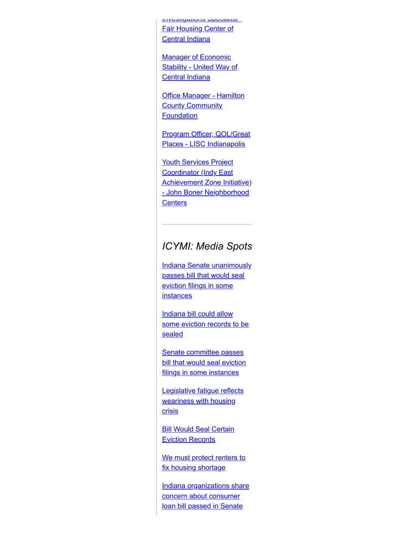Investigations Specialist [Fair Housing Center of](https://www.fhcci.org/volunteer-jobs/) Central Indiana

**Manager of Economic [Stability - United Way of](https://charitableadvisors.hirecentric.com/jobs/209868.html)** Central Indiana

**Office Manager - Hamilton [County Community](https://www.inphilanthropy.org/jobs/office-manager-2) Foundation** 

[Program Officer, QOL/Great](https://www.lisc.org/indianapolis/who-we-are/job-opportunities/) Places - LISC Indianapolis

**Youth Services Project Coordinator (Indy East** [Achievement Zone Initiative\)](https://charitableadvisors.hirecentric.com/jobs/209602.html) - John Boner Neighborhood **Centers** 

## *ICYMI: Media Spots*

**[Indiana Senate unanimously](https://www.wvpe.org/indiana-news/2022-02-22/senate-unanimously-passes-bill-that-would-seal-eviction-filings-in-some-instances)** passes bill that would seal eviction filings in some **instances** 

Indiana bill could allow [some eviction records to be](https://fox59.com/indianapolitics/indiana-bill-could-allow-some-eviction-records-to-be-sealed/) sealed

Senate committee passes [bill that would seal eviction](https://indianapublicmedia.org/news/senate-committee-passes-bill-that-would-seal-eviction-filings-in-some-instances.php) filings in some instances

[Legislative fatigue reflects](https://www.theindianalawyer.com/articles/legislative-fatigue-reflects-weariness-with-housing-crisis) weariness with housing **crisis** 

**[Bill Would Seal Certain](https://weeklyview.net/2022/02/10/bill-would-seal-certain-eviction-records/)** Eviction Records

[We must protect renters to](https://www.ibj.com/articles/andrew-bradley-we-must-protect-renters-to-fix-housing-shortage) fix housing shortage

[Indiana organizations share](https://www.newsandtribune.com/news/indiana-organizations-share-concern-about-consumer-loan-bill-passed-in-senate/article_8a0bf8dc-89ef-11ec-8eee-dba71e994b76.html) concern about consumer loan bill passed in Senate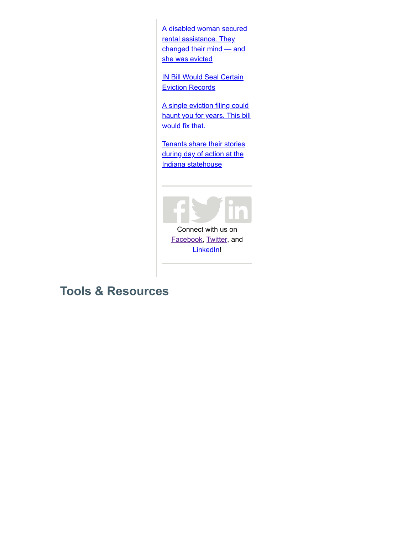[A disabled woman secured](https://www.indystar.com/story/news/real-estate/2022/02/09/indiana-evictions-covid-19-coronavirus-pandemic-upends-disabled-womans-life/8559002002/) rental assistance. They changed their mind — and she was evicted

**[IN Bill Would Seal Certain](https://www.publicnewsservice.org/2022-02-03/housing-homelessness/in-bill-would-seal-certain-eviction-records/a77690-1)** Eviction Records

A single eviction filing could [haunt you for years. This bill](https://www.indystar.com/story/news/real-estate/2022/02/01/indiana-evictions-bill-would-help-tenants-clean-evictions-record/6562650001/) would fix that.

[Tenants share their stories](https://www.indystar.com/picture-gallery/news/2022/02/01/tenants-day-action-indiana-statehouse/6596971001/) during day of action at the Indiana statehouse



Connect with us on [Facebook,](https://www.facebook.com/INCommDev) [Twitter,](https://twitter.com/INCommDev) and [LinkedIn!](https://www.linkedin.com/company/indiana-association-for-community-economic-development-iaced-/)

## **Tools & Resources**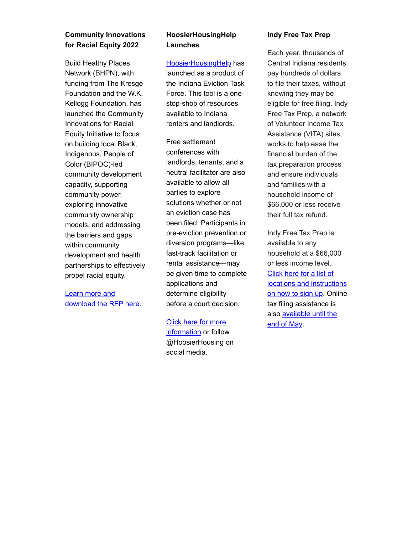## **Community Innovations for Racial Equity 2022**

Build Healthy Places Network (BHPN), with funding from The Kresge Foundation and the W.K. Kellogg Foundation, has launched the Community Innovations for Racial Equity Initiative to focus on building local Black, Indigenous, People of Color (BIPOC)-led community development capacity, supporting community power, exploring innovative community ownership models, and addressing the barriers and gaps within community development and health partnerships to effectively propel racial equity.

## Learn more and [download the RFP here.](https://buildhealthyplaces.org/sharing-knowledge/blogs/news/community-innovations-for-racial-equity-2022/)

## **HoosierHousingHelp Launches**

[HoosierHousingHelp](http://hoosierhousinghelp.com/) has launched as a product of the Indiana Eviction Task Force. This tool is a onestop-shop of resources available to Indiana renters and landlords.

Free settlement conferences with landlords, tenants, and a neutral facilitator are also available to allow all parties to explore solutions whether or not an eviction case has been filed. Participants in pre-eviction prevention or diversion programs—like fast-track facilitation or rental assistance—may be given time to complete applications and determine eligibility before a court decision.

[Click here for more](http://hoosierhousinghelp.com/) information or follow @HoosierHousing on social media.

## **Indy Free Tax Prep**

Each year, thousands of Central Indiana residents pay hundreds of dollars to file their taxes, without knowing they may be eligible for free filing. Indy Free Tax Prep, a network of Volunteer Income Tax Assistance (VITA) sites, works to help ease the financial burden of the tax preparation process and ensure individuals and families with a household income of \$66,000 or less receive their full tax refund.

Indy Free Tax Prep is available to any household at a \$66,000 or less income level. Click here for a list of [locations and instructions](http://indyfreetaxprep.com/) on how to sign up. Online tax filing assistance is [also available until the](http://myfreetaxes.com/) end of May.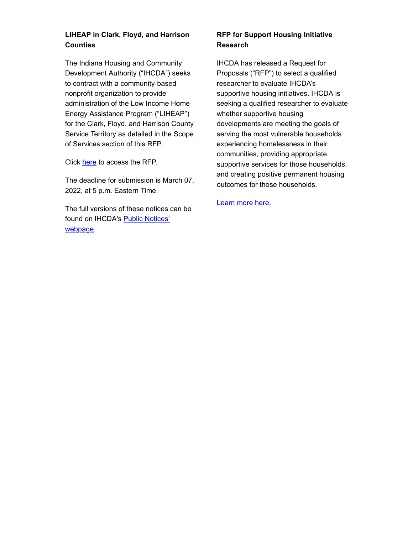## **LIHEAP in Clark, Floyd, and Harrison Counties**

The Indiana Housing and Community Development Authority ("IHCDA") seeks to contract with a community-based nonprofit organization to provide administration of the Low Income Home Energy Assistance Program ("LIHEAP") for the Clark, Floyd, and Harrison County Service Territory as detailed in the Scope of Services section of this RFP.

Click [here](https://lnks.gd/l/eyJhbGciOiJIUzI1NiJ9.eyJidWxsZXRpbl9saW5rX2lkIjoxMDEsInVyaSI6ImJwMjpjbGljayIsImJ1bGxldGluX2lkIjoiMjAyMjAxMjEuNTIxNjExMjEiLCJ1cmwiOiJodHRwczovL3d3dy5pbi5nb3YvaWhjZGEvZmlsZXMvUkZQLWZvci1MSUhFQVAtQ2xhcmstRmxveWQtSGFycmlzb24tQ291bnRpZXMtUFktMjAyMy5wZGYifQ.oXAz2OuxF3ys79S7-oxNuM3IN2w6L7Go1mSS50N1uwk/s/1089022315/br/125453776276-l) to access the RFP.

The deadline for submission is March 07, 2022, at 5 p.m. Eastern Time.

The full versions of these notices can be [found on IHCDA's](https://lnks.gd/l/eyJhbGciOiJIUzI1NiJ9.eyJidWxsZXRpbl9saW5rX2lkIjoxMDIsInVyaSI6ImJwMjpjbGljayIsImJ1bGxldGluX2lkIjoiMjAyMjAxMjEuNTIxNjExMjEiLCJ1cmwiOiJodHRwczovL3d3dy5pbi5nb3YvaWhjZGEvbmV3c3Jvb20vcHVibGljLW5vdGljZXMvIn0.rMhEGam-vNS6G98mTMnBQ9WfToMA2Qsumb-huBJiLfA/s/1089022315/br/125453776276-l) Public Notices' webpage.

## **RFP for Support Housing Initiative Research**

IHCDA has released a Request for Proposals ("RFP") to select a qualified researcher to evaluate IHCDA's supportive housing initiatives. IHCDA is seeking a qualified researcher to evaluate whether supportive housing developments are meeting the goals of serving the most vulnerable households experiencing homelessness in their communities, providing appropriate supportive services for those households, and creating positive permanent housing outcomes for those households.

[Learn more here.](https://www.in.gov/ihcda/files/22-08-Supportive-Housing-Study-RFP-w-links.pdf)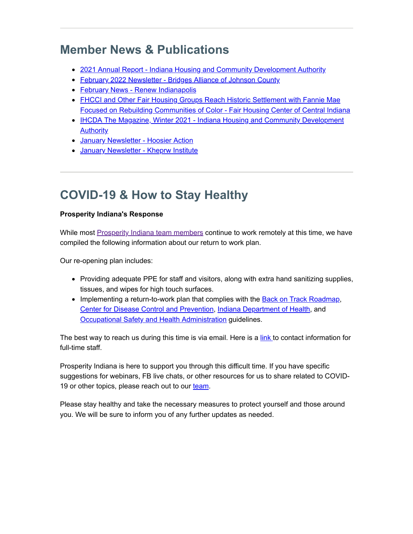# **Member News & Publications**

- [2021 Annual Report Indiana Housing and Community Development Authority](https://www.in.gov/ihcda/files/ihcda_2021_annual_report_FINAL_WEB.pdf)
- [February 2022 Newsletter Bridges Alliance of Johnson County](https://bridgesalliancejc.org/newsletter/f/february-2022-newsletter)
- [February News Renew Indianapolis](https://us17.campaign-archive.com/?u=c8304bb2bff4e33f7e410787c&id=a49c8e5091)
- FHCCI and Other Fair Housing Groups Reach Historic Settlement with Fannie Mae [Focused on Rebuilding Communities of Color - Fair Housing Center of Central Indiana](https://www.fhcci.org/news/)
- **[IHCDA The Magazine, Winter 2021 Indiana Housing and Community Development](https://my.yupub.com/?tid=51413057-69c6-46b9-be2e-25ce60c50b84#/page1#/page1) Authority**
- [January Newsletter Hoosier Action](https://www.hoosieraction.org/january-2022)
- [January Newsletter Kheprw Institute](https://kheprw.org/newsletter/)

# **COVID-19 & How to Stay Healthy**

## **Prosperity Indiana's Response**

While most [Prosperity Indiana team members](https://www.prosperityindiana.org/Staff) continue to work remotely at this time, we have compiled the following information about our return to work plan.

Our re-opening plan includes:

- Providing adequate PPE for staff and visitors, along with extra hand sanitizing supplies, tissues, and wipes for high touch surfaces.
- Implementing a return-to-work plan that complies with the [Back on Track Roadmap,](https://backontrack.in.gov/) [Center for Disease Control and Prevention,](https://www.cdc.gov/coronavirus/2019-ncov/index.html) [Indiana Department of Health,](https://www.in.gov/isdh/28470.htm) and **[Occupational Safety and Health Administration](https://www.osha.gov/coronavirus) guidelines.**

The best way to reach us during this time is via email. Here is a [link](https://prosperityindiana.org/EmailTracker/LinkTracker.ashx?linkAndRecipientCode=KVdOJtftCblnmG8jV6Ma9f4Xy9yMUqckJCHCkVn4gpUPk8HySx1rwurvNybe0qA%2bzWN%2flq59SEQcvRH%2fyv%2bKXaPvQinik4y%2b8XGLhR1AeP4%3d) to contact information for full-time staff.

Prosperity Indiana is here to support you through this difficult time. If you have specific suggestions for webinars, FB live chats, or other resources for us to share related to COVID19 or other topics, please reach out to our [team.](mailto:covidresponse@prosperityindiana.org)

Please stay healthy and take the necessary measures to protect yourself and those around you. We will be sure to inform you of any further updates as needed.